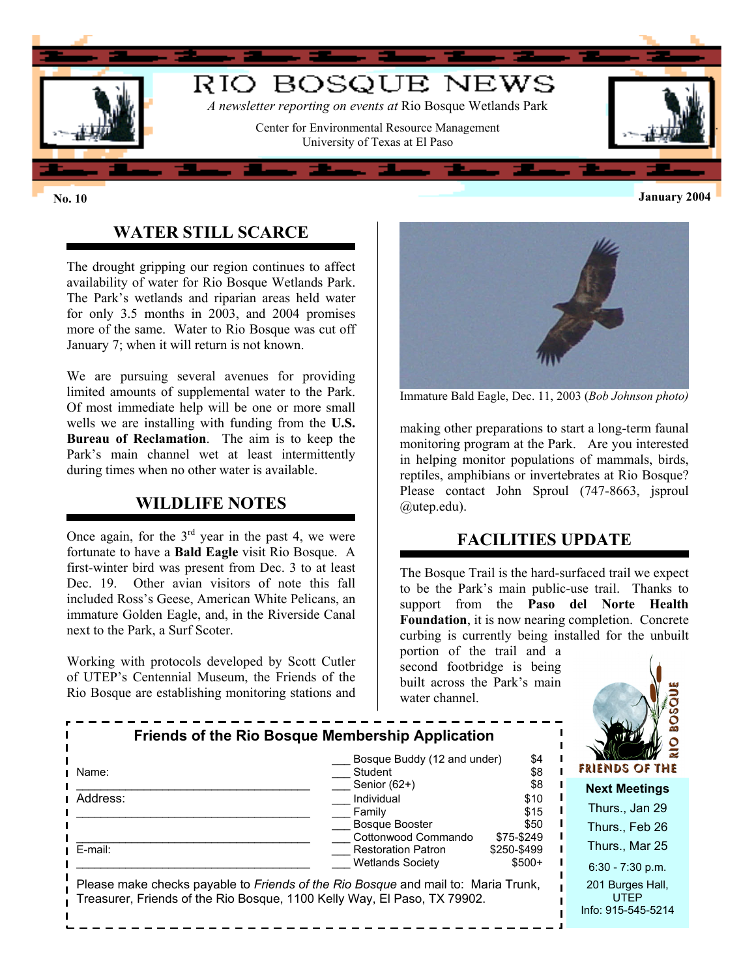

# **WATER STILL SCARCE**

The drought gripping our region continues to affect availability of water for Rio Bosque Wetlands Park. The Park's wetlands and riparian areas held water for only 3.5 months in 2003, and 2004 promises more of the same. Water to Rio Bosque was cut off January 7; when it will return is not known.

We are pursuing several avenues for providing limited amounts of supplemental water to the Park. Of most immediate help will be one or more small wells we are installing with funding from the **U.S. Bureau of Reclamation**. The aim is to keep the Park's main channel wet at least intermittently during times when no other water is available.

## **WILDLIFE NOTES**

Once again, for the  $3<sup>rd</sup>$  year in the past 4, we were fortunate to have a **Bald Eagle** visit Rio Bosque. A first-winter bird was present from Dec. 3 to at least Dec. 19. Other avian visitors of note this fall included Ross's Geese, American White Pelicans, an immature Golden Eagle, and, in the Riverside Canal next to the Park, a Surf Scoter.

Working with protocols developed by Scott Cutler of UTEP's Centennial Museum, the Friends of the Rio Bosque are establishing monitoring stations and



Immature Bald Eagle, Dec. 11, 2003 (*Bob Johnson photo)*

making other preparations to start a long-term faunal monitoring program at the Park. Are you interested in helping monitor populations of mammals, birds, reptiles, amphibians or invertebrates at Rio Bosque? Please contact John Sproul (747-8663, jsproul @utep.edu).

#### **FACILITIES UPDATE**

The Bosque Trail is the hard-surfaced trail we expect to be the Park's main public-use trail. Thanks to support from the **Paso del Norte Health Foundation**, it is now nearing completion. Concrete curbing is currently being installed for the unbuilt

portion of the trail and a second footbridge is being built across the Park's main water channel.



| <b>Friends of the Rio Bosque Membership Application</b>                                                                                                       |                                              |                    |                                                       |
|---------------------------------------------------------------------------------------------------------------------------------------------------------------|----------------------------------------------|--------------------|-------------------------------------------------------|
| Name:                                                                                                                                                         | Bosque Buddy (12 and under)<br>Student       | \$4<br>\$8         | <b>FRIENDS OF THE</b>                                 |
| Address:                                                                                                                                                      | Senior (62+)<br>Individual                   | \$8<br>\$10        | <b>Next Meetings</b>                                  |
|                                                                                                                                                               | Family                                       | \$15               | Thurs., Jan 29                                        |
|                                                                                                                                                               | <b>Bosque Booster</b><br>Cottonwood Commando | \$50<br>\$75-\$249 | Thurs., Feb 26                                        |
| E-mail:                                                                                                                                                       | <b>Restoration Patron</b>                    | \$250-\$499        | Thurs., Mar 25                                        |
|                                                                                                                                                               | <b>Wetlands Society</b>                      | $$500+$            | $6:30 - 7:30$ p.m.                                    |
| Please make checks payable to Friends of the Rio Bosque and mail to: Maria Trunk,<br>Treasurer, Friends of the Rio Bosque, 1100 Kelly Way, El Paso, TX 79902. |                                              |                    | 201 Burges Hall,<br><b>UTEP</b><br>Info: 915-545-5214 |

**No. 10 January 2004**